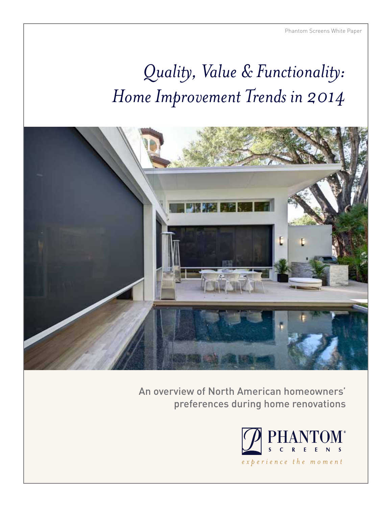# *Quality, Value & Functionality: Home Improvement Trends in 2014*



An overview of North American homeowners' preferences during home renovations

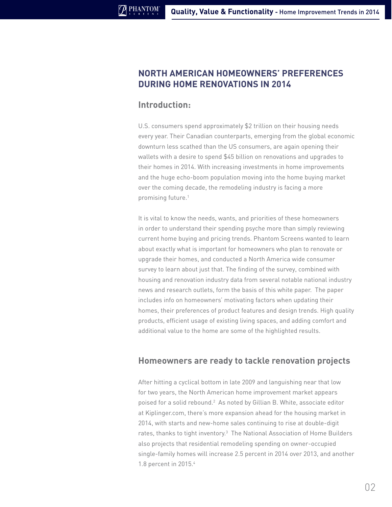## **North American homeowners' preferences during home renovations in 2014**

### **Introduction:**

U.S. consumers spend approximately \$2 trillion on their housing needs every year. Their Canadian counterparts, emerging from the global economic downturn less scathed than the US consumers, are again opening their wallets with a desire to spend \$45 billion on renovations and upgrades to their homes in 2014. With increasing investments in home improvements and the huge echo-boom population moving into the home buying market over the coming decade, the remodeling industry is facing a more promising future.<sup>1</sup>

It is vital to know the needs, wants, and priorities of these homeowners in order to understand their spending psyche more than simply reviewing current home buying and pricing trends. Phantom Screens wanted to learn about exactly what is important for homeowners who plan to renovate or upgrade their homes, and conducted a North America wide consumer survey to learn about just that. The finding of the survey, combined with housing and renovation industry data from several notable national industry news and research outlets, form the basis of this white paper. The paper includes info on homeowners' motivating factors when updating their homes, their preferences of product features and design trends. High quality products, efficient usage of existing living spaces, and adding comfort and additional value to the home are some of the highlighted results.

#### **Homeowners are ready to tackle renovation projects**

After hitting a cyclical bottom in late 2009 and languishing near that low for two years, the North American home improvement market appears poised for a solid rebound.<sup>2</sup> As noted by Gillian B. White, associate editor at Kiplinger.com, there's more expansion ahead for the housing market in 2014, with starts and new-home sales continuing to rise at double-digit rates, thanks to tight inventory.<sup>3</sup> The National Association of Home Builders also projects that residential remodeling spending on owner-occupied single-family homes will increase 2.5 percent in 2014 over 2013, and another 1.8 percent in 2015.4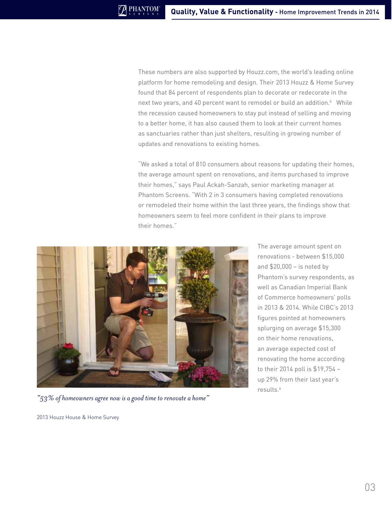These numbers are also supported by Houzz.com, the world's leading online platform for home remodeling and design. Their 2013 Houzz & Home Survey found that 84 percent of respondents plan to decorate or redecorate in the next two years, and 40 percent want to remodel or build an addition.<sup>5</sup> While the recession caused homeowners to stay put instead of selling and moving to a better home, it has also caused them to look at their current homes as sanctuaries rather than just shelters, resulting in growing number of updates and renovations to existing homes.

"We asked a total of 810 consumers about reasons for updating their homes, the average amount spent on renovations, and items purchased to improve their homes," says Paul Ackah-Sanzah, senior marketing manager at Phantom Screens. "With 2 in 3 consumers having completed renovations or remodeled their home within the last three years, the findings show that homeowners seem to feel more confident in their plans to improve their homes."



*"53% of homeowners agree now is a good time to renovate a home"* 

2013 Houzz House & Home Survey

The average amount spent on renovations - between \$15,000 and \$20,000 – is noted by Phantom's survey respondents, as well as Canadian Imperial Bank of Commerce homeowners' polls in 2013 & 2014. While CIBC's 2013 figures pointed at homeowners splurging on average \$15,300 on their home renovations, an average expected cost of renovating the home according to their 2014 poll is \$19,754 – up 29% from their last year's results.6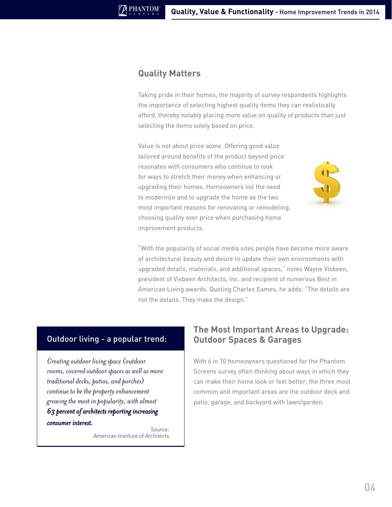#### **Quality Matters**

Taking pride in their homes, the majority of survey respondents highlights the importance of selecting highest quality items they can realistically afford, thereby notably placing more value on quality of products than just selecting the items solely based on price.

Value is not about price alone. Offering good value tailored around benefits of the product beyond price resonates with consumers who continue to look for ways to stretch their money when enhancing or upgrading their homes. Homeowners list the need to modernize and to upgrade the home as the two most important reasons for renovating or remodeling, choosing quality over price when purchasing home improvement products.



"With the popularity of social media sites people have become more aware of architectural beauty and desire to update their own environments with upgraded details, materials, and additional spaces," notes Wayne Visbeen, president of [Visbeen Architects, Inc.](http://www.visbeen.com) and recipient of numerous Best in American Living awards. Quoting Charles Eames, he adds: "The details are not the details. They make the design."

#### Outdoor living - a popular trend:

*Creating outdoor living space (outdoor rooms, covered outdoor spaces as well as more traditional decks, patios, and porches) continue to be the property enhancement growing the most in popularity, with almost 63 percent of architects reporting increasing consumer interest.*

Source: American Institute of Architects

# **The Most Important Areas to Upgrade: Outdoor Spaces & Garages**

With 6 in 10 homeowners questioned for the Phantom Screens survey often thinking about ways in which they can make their home look or feel better, the three most common and important areas are the outdoor deck and patio, garage, and backyard with lawn/garden.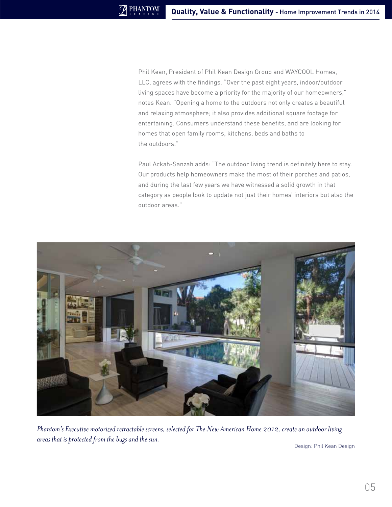Phil Kean, President of [Phil Kean Design Group](http://philkeandesigns.com) and [WAYCOOL Homes,](http://waycoolhomesus.com)  [LLC](http://waycoolhomesus.com), agrees with the findings. "Over the past eight years, indoor/outdoor living spaces have become a priority for the majority of our homeowners," notes Kean. "Opening a home to the outdoors not only creates a beautiful and relaxing atmosphere; it also provides additional square footage for entertaining. Consumers understand these benefits, and are looking for homes that open family rooms, kitchens, beds and baths to the outdoors."

Paul Ackah-Sanzah adds: "The outdoor living trend is definitely here to stay. Our products help homeowners make the most of their porches and patios, and during the last few years we have witnessed a solid growth in that category as people look to update not just their homes' interiors but also the outdoor areas."



*Phantom's Executive motorized retractable screens, selected for The New American Home 2012, create an outdoor living areas that is protected from the bugs and the sun.* 

Design: Phil Kean Design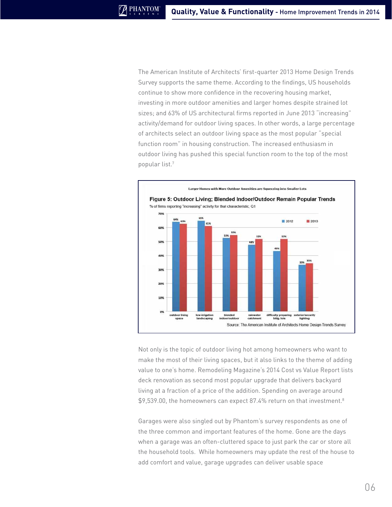The American Institute of Architects' first-quarter 2013 Home Design Trends Survey supports the same theme. According to the findings, US households continue to show more confidence in the recovering housing market, investing in more outdoor amenities and larger homes despite strained lot sizes; and 63% of US architectural firms reported in June 2013 "increasing" activity/demand for outdoor living spaces. In other words, a large percentage of architects select an outdoor living space as the most popular "special function room" in housing construction. The increased enthusiasm in outdoor living has pushed this special function room to the top of the most popular list.7



Not only is the topic of outdoor living hot among homeowners who want to make the most of their living spaces, but it also links to the theme of adding value to one's home. Remodeling Magazine's 2014 Cost vs Value Report lists deck renovation as second most popular upgrade that delivers backyard living at a fraction of a price of the addition. Spending on average around \$9,539.00, the homeowners can expect 87.4% return on that investment.<sup>8</sup>

Garages were also singled out by Phantom's survey respondents as one of the three common and important features of the home. Gone are the days when a garage was an often-cluttered space to just park the car or store all the household tools. While homeowners may update the rest of the house to add comfort and value, garage upgrades can deliver usable space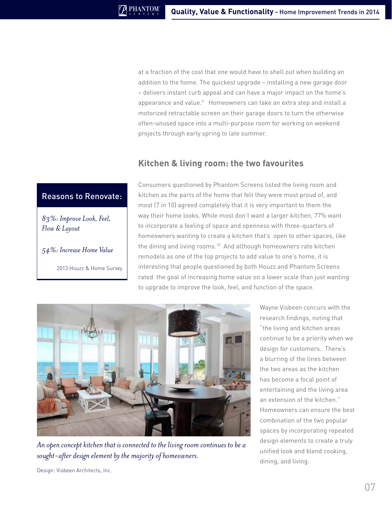at a fraction of the cost that one would have to shell out when building an addition to the home. The quickest upgrade – installing a new garage door – delivers instant curb appeal and can have a major impact on the home's appearance and value.<sup>9</sup> Homeowners can take an extra step and install a motorized retractable screen on their garage doors to turn the otherwise often-unused space into a multi-purpose room for working on weekend projects through early spring to late summer.

# **Kitchen & living room: the two favourites**

## Reasons to Renovate:

*83%: Improve Look, Feel, Flow & Layout*

*54%: Increase Home Value*

2013 Houzz & Home Survey

Consumers questioned by Phantom Screens listed the living room and kitchen as the parts of the home that felt they were most proud of, and most (7 in 10) agreed completely that it is very important to them the way their home looks. While most don't want a larger kitchen, 77% want to incorporate a feeling of space and openness with three-quarters of homeowners wanting to create a kitchen that's open to other spaces, like the dining and living rooms.<sup>10</sup> And although homeowners rate kitchen remodels as one of the top projects to add value to one's home, it is interesting that people questioned by both Houzz and Phantom Screens rated the goal of increasing home value on a lower scale than just wanting to upgrade to improve the look, feel, and function of the space.



*An open concept kitchen that is connected to the living room continues to be a sought-after design element by the majority of homeowners.* 

Wayne Visbeen concurs with the research findings, noting that "the living and kitchen areas continue to be a priority when we design for customers. There's a blurring of the lines between the two areas as the kitchen has become a focal point of entertaining and the living area an extension of the kitchen." Homeowners can ensure the best combination of the two popular spaces by incorporating repeated design elements to create a truly unified look and blend cooking, dining, and living.

Design: Visbeen Architects, Inc.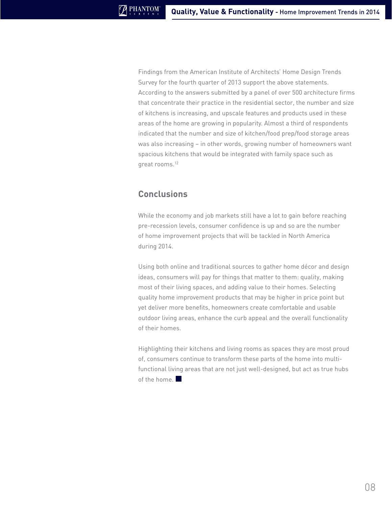Findings from the American Institute of Architects' Home Design Trends Survey for the fourth quarter of 2013 support the above statements. According to the answers submitted by a panel of over 500 architecture firms that concentrate their practice in the residential sector, the number and size of kitchens is increasing, and upscale features and products used in these areas of the home are growing in popularity. Almost a third of respondents indicated that the number and size of kitchen/food prep/food storage areas was also increasing – in other words, growing number of homeowners want spacious kitchens that would be integrated with family space such as great rooms.<sup>12</sup>

# **Conclusions**

While the economy and job markets still have a lot to gain before reaching pre-recession levels, consumer confidence is up and so are the number of home improvement projects that will be tackled in North America during 2014.

Using both online and traditional sources to gather home décor and design ideas, consumers will pay for things that matter to them: quality, making most of their living spaces, and adding value to their homes. Selecting quality home improvement products that may be higher in price point but yet deliver more benefits, homeowners create comfortable and usable outdoor living areas, enhance the curb appeal and the overall functionality of their homes.

Highlighting their kitchens and living rooms as spaces they are most proud of, consumers continue to transform these parts of the home into multifunctional living areas that are not just well-designed, but act as true hubs of the home.